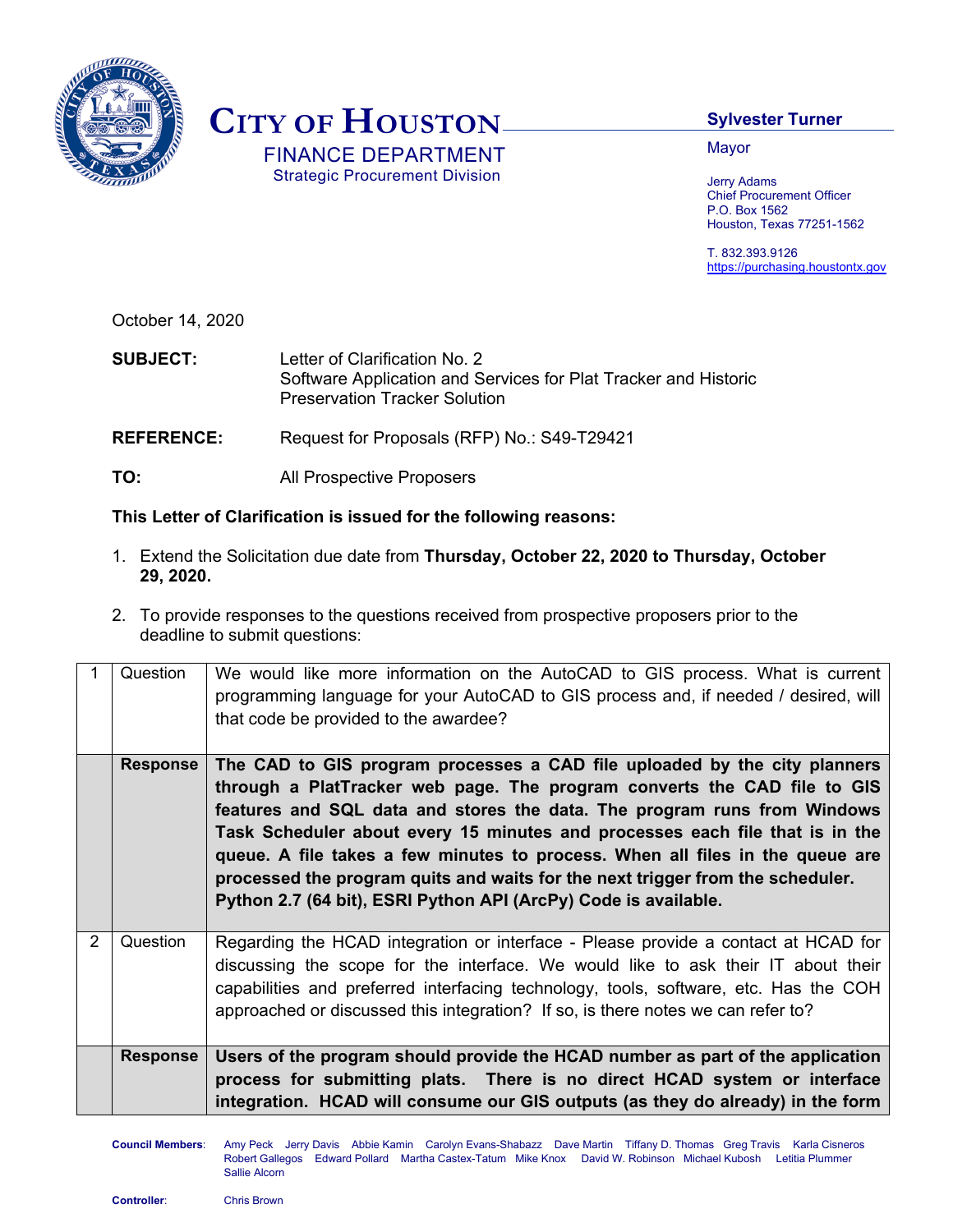

## **CITY OF HOUSTON**

 FINANCE DEPARTMENT Strategic Procurement Division

## **Sylvester Turner**

Mayor

Jerry Adams Chief Procurement Officer P.O. Box 1562 Houston, Texas 77251-1562

T. 832.393.9126 https://purchasing.houstontx.gov

October 14, 2020

**SUBJECT:** Letter of Clarification No. 2 Software Application and Services for Plat Tracker and Historic Preservation Tracker Solution

**REFERENCE:** Request for Proposals (RFP) No.: S49-T29421

**TO:** All Prospective Proposers

## **This Letter of Clarification is issued for the following reasons:**

- 1. Extend the Solicitation due date from **Thursday, October 22, 2020 to Thursday, October 29, 2020.**
- 2. To provide responses to the questions received from prospective proposers prior to the deadline to submit questions:

|               | Question        | We would like more information on the AutoCAD to GIS process. What is current<br>programming language for your AutoCAD to GIS process and, if needed / desired, will<br>that code be provided to the awardee?                                                                                                                                                                                                                                                                                                                                           |
|---------------|-----------------|---------------------------------------------------------------------------------------------------------------------------------------------------------------------------------------------------------------------------------------------------------------------------------------------------------------------------------------------------------------------------------------------------------------------------------------------------------------------------------------------------------------------------------------------------------|
|               | <b>Response</b> | The CAD to GIS program processes a CAD file uploaded by the city planners<br>through a PlatTracker web page. The program converts the CAD file to GIS<br>features and SQL data and stores the data. The program runs from Windows<br>Task Scheduler about every 15 minutes and processes each file that is in the<br>queue. A file takes a few minutes to process. When all files in the queue are<br>processed the program quits and waits for the next trigger from the scheduler.<br>Python 2.7 (64 bit), ESRI Python API (ArcPy) Code is available. |
| $\mathcal{P}$ | Question        | Regarding the HCAD integration or interface - Please provide a contact at HCAD for<br>discussing the scope for the interface. We would like to ask their IT about their<br>capabilities and preferred interfacing technology, tools, software, etc. Has the COH<br>approached or discussed this integration? If so, is there notes we can refer to?                                                                                                                                                                                                     |
|               | Response        | Users of the program should provide the HCAD number as part of the application<br>process for submitting plats. There is no direct HCAD system or interface<br>integration. HCAD will consume our GIS outputs (as they do already) in the form                                                                                                                                                                                                                                                                                                          |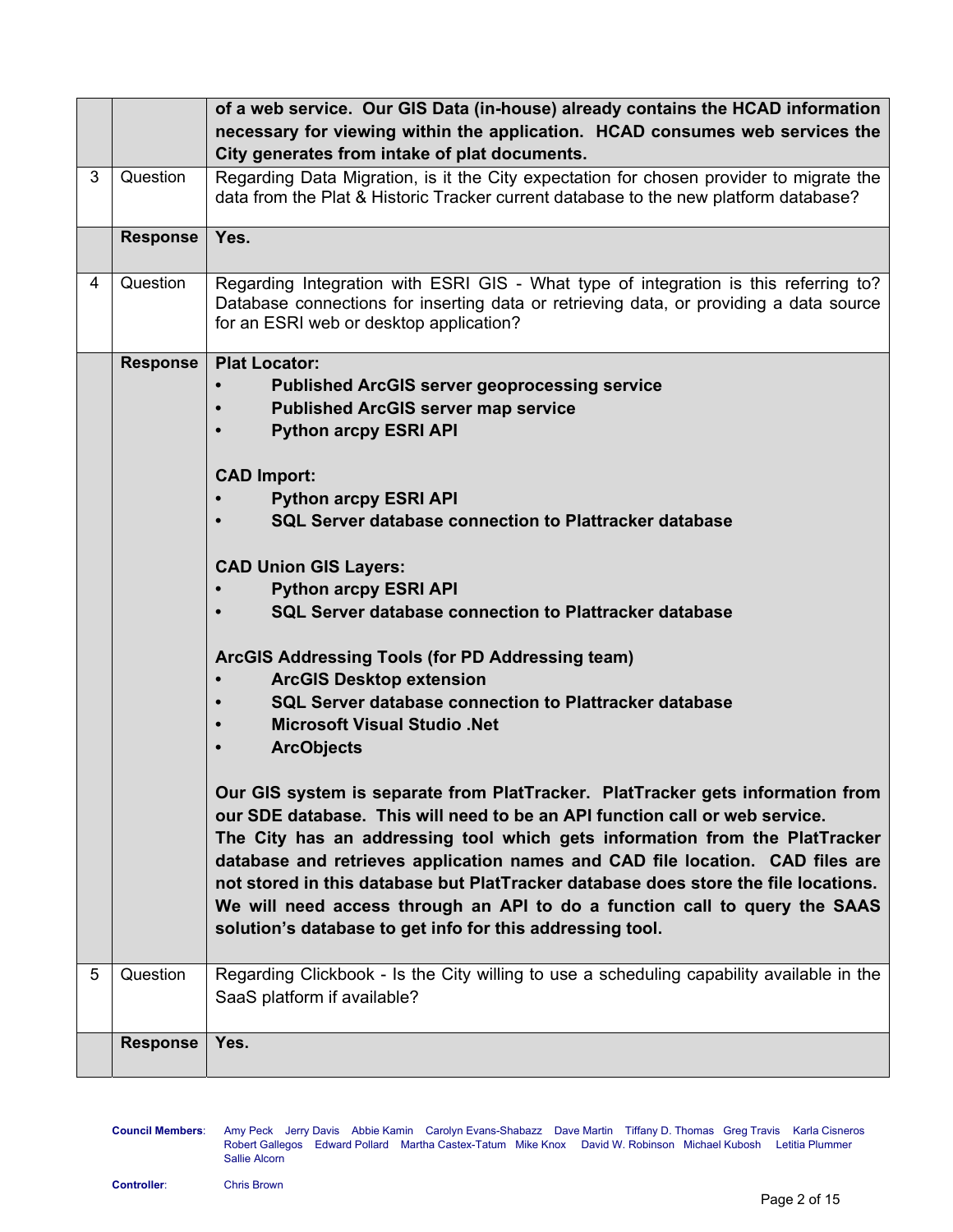|   |                 | of a web service. Our GIS Data (in-house) already contains the HCAD information                                                                                                                                                                                                                                                                                                                                                                                                                                                                                                                                                                                                                                                                                              |
|---|-----------------|------------------------------------------------------------------------------------------------------------------------------------------------------------------------------------------------------------------------------------------------------------------------------------------------------------------------------------------------------------------------------------------------------------------------------------------------------------------------------------------------------------------------------------------------------------------------------------------------------------------------------------------------------------------------------------------------------------------------------------------------------------------------------|
|   |                 | necessary for viewing within the application. HCAD consumes web services the                                                                                                                                                                                                                                                                                                                                                                                                                                                                                                                                                                                                                                                                                                 |
|   |                 | City generates from intake of plat documents.                                                                                                                                                                                                                                                                                                                                                                                                                                                                                                                                                                                                                                                                                                                                |
| 3 | Question        | Regarding Data Migration, is it the City expectation for chosen provider to migrate the<br>data from the Plat & Historic Tracker current database to the new platform database?                                                                                                                                                                                                                                                                                                                                                                                                                                                                                                                                                                                              |
|   | <b>Response</b> | Yes.                                                                                                                                                                                                                                                                                                                                                                                                                                                                                                                                                                                                                                                                                                                                                                         |
| 4 | Question        | Regarding Integration with ESRI GIS - What type of integration is this referring to?<br>Database connections for inserting data or retrieving data, or providing a data source<br>for an ESRI web or desktop application?                                                                                                                                                                                                                                                                                                                                                                                                                                                                                                                                                    |
|   | Response        | <b>Plat Locator:</b><br><b>Published ArcGIS server geoprocessing service</b><br><b>Published ArcGIS server map service</b><br><b>Python arcpy ESRI API</b><br><b>CAD Import:</b><br><b>Python arcpy ESRI API</b><br>SQL Server database connection to Plattracker database<br><b>CAD Union GIS Layers:</b><br><b>Python arcpy ESRI API</b><br>SQL Server database connection to Plattracker database                                                                                                                                                                                                                                                                                                                                                                         |
|   |                 | ArcGIS Addressing Tools (for PD Addressing team)<br><b>ArcGIS Desktop extension</b><br>SQL Server database connection to Plattracker database<br><b>Microsoft Visual Studio .Net</b><br><b>ArcObjects</b><br>Our GIS system is separate from PlatTracker. PlatTracker gets information from<br>our SDE database. This will need to be an API function call or web service.<br>The City has an addressing tool which gets information from the PlatTracker<br>database and retrieves application names and CAD file location. CAD files are<br>not stored in this database but PlatTracker database does store the file locations.<br>We will need access through an API to do a function call to query the SAAS<br>solution's database to get info for this addressing tool. |
| 5 | Question        | Regarding Clickbook - Is the City willing to use a scheduling capability available in the<br>SaaS platform if available?                                                                                                                                                                                                                                                                                                                                                                                                                                                                                                                                                                                                                                                     |
|   | <b>Response</b> | Yes.                                                                                                                                                                                                                                                                                                                                                                                                                                                                                                                                                                                                                                                                                                                                                                         |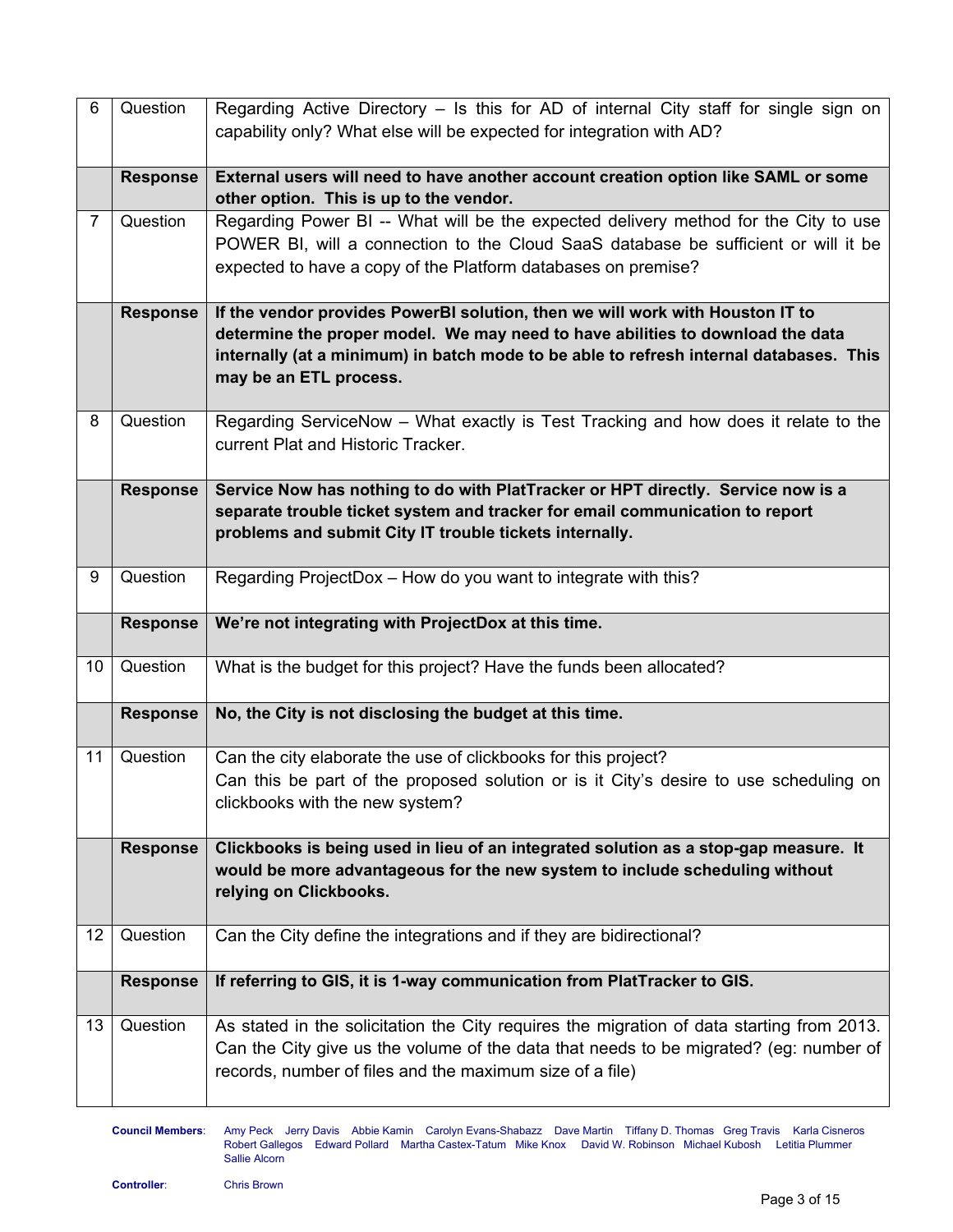| 6               | Question        | Regarding Active Directory – Is this for AD of internal City staff for single sign on<br>capability only? What else will be expected for integration with AD?                                                                                                                       |
|-----------------|-----------------|-------------------------------------------------------------------------------------------------------------------------------------------------------------------------------------------------------------------------------------------------------------------------------------|
|                 | <b>Response</b> | External users will need to have another account creation option like SAML or some<br>other option. This is up to the vendor.                                                                                                                                                       |
| $\overline{7}$  | Question        | Regarding Power BI -- What will be the expected delivery method for the City to use<br>POWER BI, will a connection to the Cloud SaaS database be sufficient or will it be<br>expected to have a copy of the Platform databases on premise?                                          |
|                 | <b>Response</b> | If the vendor provides PowerBI solution, then we will work with Houston IT to<br>determine the proper model. We may need to have abilities to download the data<br>internally (at a minimum) in batch mode to be able to refresh internal databases. This<br>may be an ETL process. |
| 8               | Question        | Regarding ServiceNow - What exactly is Test Tracking and how does it relate to the<br>current Plat and Historic Tracker.                                                                                                                                                            |
|                 | <b>Response</b> | Service Now has nothing to do with PlatTracker or HPT directly. Service now is a<br>separate trouble ticket system and tracker for email communication to report<br>problems and submit City IT trouble tickets internally.                                                         |
| 9               | Question        | Regarding ProjectDox - How do you want to integrate with this?                                                                                                                                                                                                                      |
|                 | <b>Response</b> | We're not integrating with ProjectDox at this time.                                                                                                                                                                                                                                 |
| 10 <sup>°</sup> | Question        | What is the budget for this project? Have the funds been allocated?                                                                                                                                                                                                                 |
|                 | <b>Response</b> | No, the City is not disclosing the budget at this time.                                                                                                                                                                                                                             |
| 11              | Question        | Can the city elaborate the use of clickbooks for this project?<br>Can this be part of the proposed solution or is it City's desire to use scheduling on<br>clickbooks with the new system?                                                                                          |
|                 | <b>Response</b> | Clickbooks is being used in lieu of an integrated solution as a stop-gap measure. It<br>would be more advantageous for the new system to include scheduling without<br>relying on Clickbooks.                                                                                       |
| 12              | Question        | Can the City define the integrations and if they are bidirectional?                                                                                                                                                                                                                 |
|                 | <b>Response</b> | If referring to GIS, it is 1-way communication from PlatTracker to GIS.                                                                                                                                                                                                             |
| 13              | Question        | As stated in the solicitation the City requires the migration of data starting from 2013.<br>Can the City give us the volume of the data that needs to be migrated? (eg: number of<br>records, number of files and the maximum size of a file)                                      |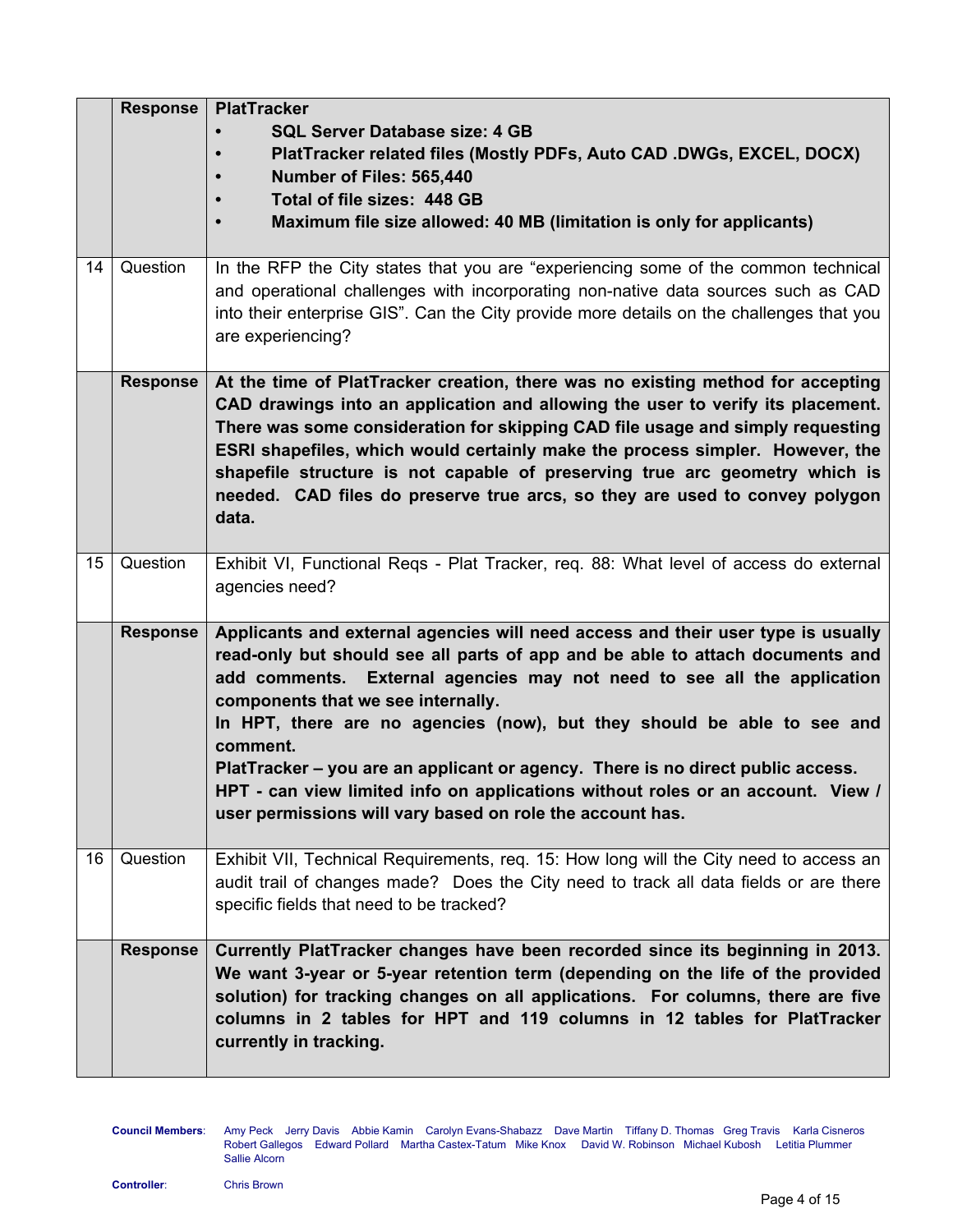|    | <b>Response</b> | <b>PlatTracker</b><br><b>SQL Server Database size: 4 GB</b><br>PlatTracker related files (Mostly PDFs, Auto CAD .DWGs, EXCEL, DOCX)<br>Number of Files: 565,440<br>Total of file sizes: 448 GB<br>Maximum file size allowed: 40 MB (limitation is only for applicants)                                                                                                                                                                                                                                                                                                                                       |
|----|-----------------|--------------------------------------------------------------------------------------------------------------------------------------------------------------------------------------------------------------------------------------------------------------------------------------------------------------------------------------------------------------------------------------------------------------------------------------------------------------------------------------------------------------------------------------------------------------------------------------------------------------|
| 14 | Question        | In the RFP the City states that you are "experiencing some of the common technical<br>and operational challenges with incorporating non-native data sources such as CAD<br>into their enterprise GIS". Can the City provide more details on the challenges that you<br>are experiencing?                                                                                                                                                                                                                                                                                                                     |
|    | <b>Response</b> | At the time of PlatTracker creation, there was no existing method for accepting<br>CAD drawings into an application and allowing the user to verify its placement.<br>There was some consideration for skipping CAD file usage and simply requesting<br>ESRI shapefiles, which would certainly make the process simpler. However, the<br>shapefile structure is not capable of preserving true arc geometry which is<br>needed. CAD files do preserve true arcs, so they are used to convey polygon<br>data.                                                                                                 |
| 15 | Question        | Exhibit VI, Functional Regs - Plat Tracker, reg. 88: What level of access do external<br>agencies need?                                                                                                                                                                                                                                                                                                                                                                                                                                                                                                      |
|    | <b>Response</b> | Applicants and external agencies will need access and their user type is usually<br>read-only but should see all parts of app and be able to attach documents and<br>add comments. External agencies may not need to see all the application<br>components that we see internally.<br>In HPT, there are no agencies (now), but they should be able to see and<br>comment.<br>PlatTracker - you are an applicant or agency. There is no direct public access.<br>HPT - can view limited info on applications without roles or an account. View /<br>user permissions will vary based on role the account has. |
| 16 | Question        | Exhibit VII, Technical Requirements, req. 15: How long will the City need to access an<br>audit trail of changes made? Does the City need to track all data fields or are there<br>specific fields that need to be tracked?                                                                                                                                                                                                                                                                                                                                                                                  |
|    | <b>Response</b> | Currently PlatTracker changes have been recorded since its beginning in 2013.<br>We want 3-year or 5-year retention term (depending on the life of the provided<br>solution) for tracking changes on all applications. For columns, there are five<br>columns in 2 tables for HPT and 119 columns in 12 tables for PlatTracker<br>currently in tracking.                                                                                                                                                                                                                                                     |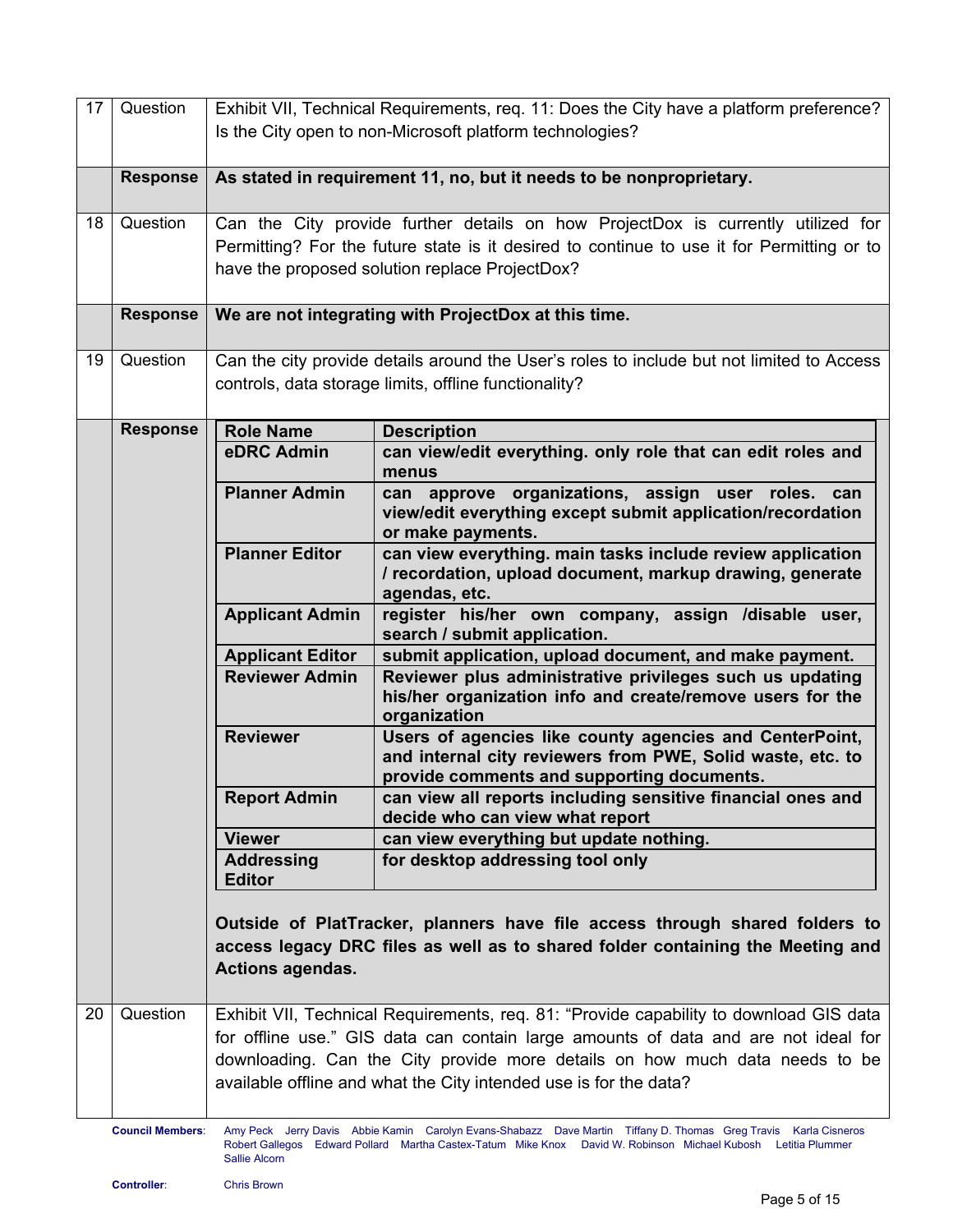| 17 | Question                                                                                                                                                                                                                                                                            |                                    | Exhibit VII, Technical Requirements, req. 11: Does the City have a platform preference?<br>Is the City open to non-Microsoft platform technologies?                                                                             |
|----|-------------------------------------------------------------------------------------------------------------------------------------------------------------------------------------------------------------------------------------------------------------------------------------|------------------------------------|---------------------------------------------------------------------------------------------------------------------------------------------------------------------------------------------------------------------------------|
|    | <b>Response</b>                                                                                                                                                                                                                                                                     |                                    | As stated in requirement 11, no, but it needs to be nonproprietary.                                                                                                                                                             |
| 18 | Question                                                                                                                                                                                                                                                                            |                                    | Can the City provide further details on how ProjectDox is currently utilized for<br>Permitting? For the future state is it desired to continue to use it for Permitting or to<br>have the proposed solution replace ProjectDox? |
|    | <b>Response</b>                                                                                                                                                                                                                                                                     |                                    | We are not integrating with ProjectDox at this time.                                                                                                                                                                            |
| 19 | Question                                                                                                                                                                                                                                                                            |                                    | Can the city provide details around the User's roles to include but not limited to Access<br>controls, data storage limits, offline functionality?                                                                              |
|    | <b>Response</b>                                                                                                                                                                                                                                                                     | <b>Role Name</b>                   | <b>Description</b>                                                                                                                                                                                                              |
|    |                                                                                                                                                                                                                                                                                     | eDRC Admin                         | can view/edit everything. only role that can edit roles and<br>menus                                                                                                                                                            |
|    |                                                                                                                                                                                                                                                                                     | <b>Planner Admin</b>               | can approve organizations, assign<br>user<br>roles.<br>can<br>view/edit everything except submit application/recordation<br>or make payments.                                                                                   |
|    |                                                                                                                                                                                                                                                                                     | <b>Planner Editor</b>              | can view everything. main tasks include review application<br>/ recordation, upload document, markup drawing, generate<br>agendas, etc.                                                                                         |
|    |                                                                                                                                                                                                                                                                                     | <b>Applicant Admin</b>             | register his/her own company, assign /disable user,<br>search / submit application.                                                                                                                                             |
|    |                                                                                                                                                                                                                                                                                     | <b>Applicant Editor</b>            | submit application, upload document, and make payment.                                                                                                                                                                          |
|    |                                                                                                                                                                                                                                                                                     | <b>Reviewer Admin</b>              | Reviewer plus administrative privileges such us updating                                                                                                                                                                        |
|    |                                                                                                                                                                                                                                                                                     |                                    | his/her organization info and create/remove users for the<br>organization                                                                                                                                                       |
|    |                                                                                                                                                                                                                                                                                     | <b>Reviewer</b>                    | Users of agencies like county agencies and CenterPoint,<br>and internal city reviewers from PWE, Solid waste, etc. to<br>provide comments and supporting documents.                                                             |
|    |                                                                                                                                                                                                                                                                                     | <b>Report Admin</b>                | can view all reports including sensitive financial ones and<br>decide who can view what report                                                                                                                                  |
|    |                                                                                                                                                                                                                                                                                     | <b>Viewer</b>                      | can view everything but update nothing.                                                                                                                                                                                         |
|    |                                                                                                                                                                                                                                                                                     | <b>Addressing</b><br><b>Editor</b> | for desktop addressing tool only                                                                                                                                                                                                |
|    |                                                                                                                                                                                                                                                                                     | <b>Actions agendas.</b>            | Outside of PlatTracker, planners have file access through shared folders to<br>access legacy DRC files as well as to shared folder containing the Meeting and                                                                   |
|    |                                                                                                                                                                                                                                                                                     |                                    |                                                                                                                                                                                                                                 |
| 20 | Question                                                                                                                                                                                                                                                                            |                                    | Exhibit VII, Technical Requirements, req. 81: "Provide capability to download GIS data                                                                                                                                          |
|    |                                                                                                                                                                                                                                                                                     |                                    | for offline use." GIS data can contain large amounts of data and are not ideal for                                                                                                                                              |
|    |                                                                                                                                                                                                                                                                                     |                                    | downloading. Can the City provide more details on how much data needs to be                                                                                                                                                     |
|    |                                                                                                                                                                                                                                                                                     |                                    | available offline and what the City intended use is for the data?                                                                                                                                                               |
|    | <b>Council Members:</b><br>Amy Peck Jerry Davis Abbie Kamin Carolyn Evans-Shabazz Dave Martin Tiffany D. Thomas Greg Travis Karla Cisneros<br>Robert Gallegos Edward Pollard Martha Castex-Tatum Mike Knox David W. Robinson Michael Kubosh Letitia Plummer<br><b>Sallie Alcorn</b> |                                    |                                                                                                                                                                                                                                 |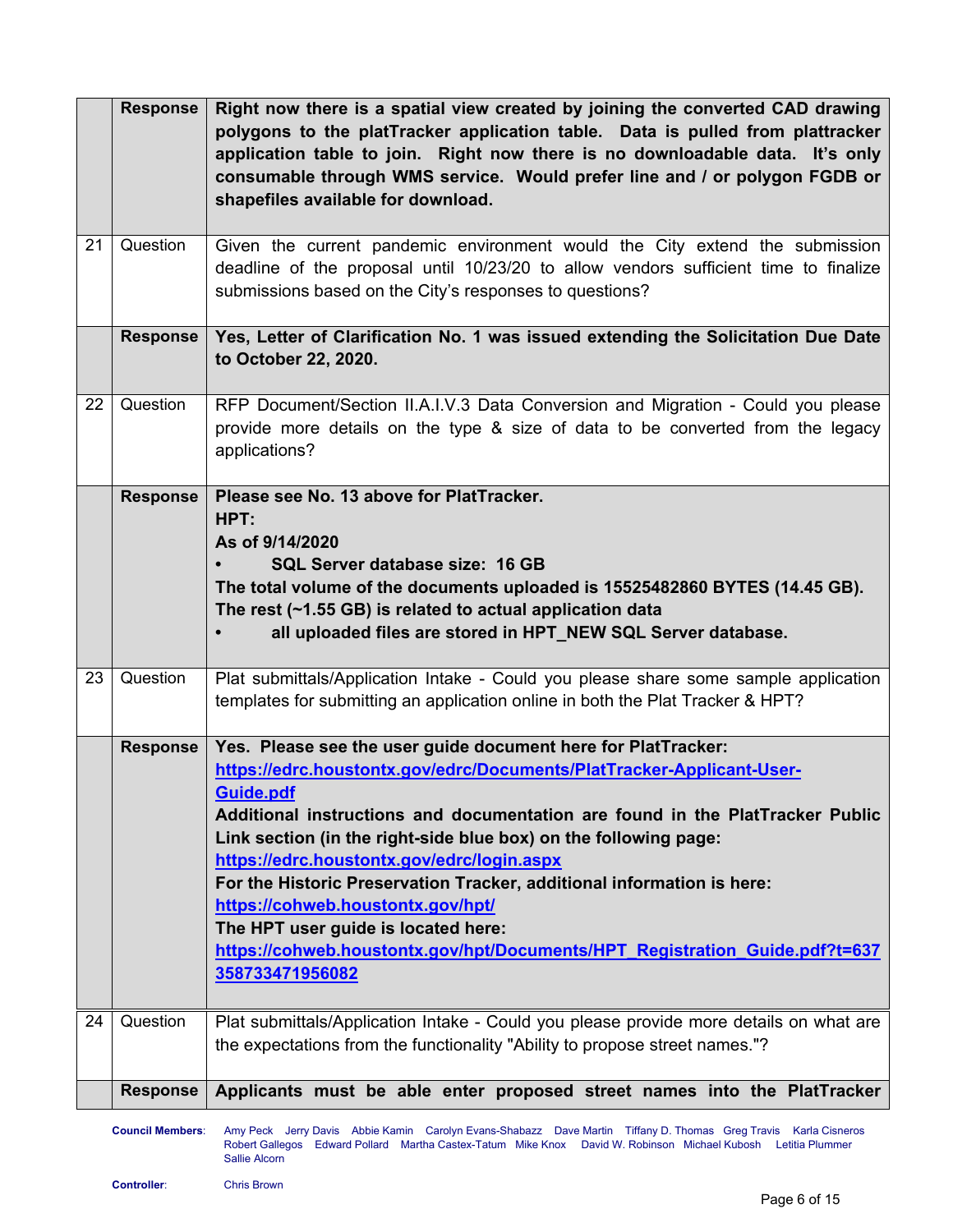|    | <b>Response</b> | Right now there is a spatial view created by joining the converted CAD drawing<br>polygons to the platTracker application table. Data is pulled from plattracker<br>application table to join. Right now there is no downloadable data. It's only<br>consumable through WMS service. Would prefer line and / or polygon FGDB or<br>shapefiles available for download.                                                                                                                                                                                                                                          |
|----|-----------------|----------------------------------------------------------------------------------------------------------------------------------------------------------------------------------------------------------------------------------------------------------------------------------------------------------------------------------------------------------------------------------------------------------------------------------------------------------------------------------------------------------------------------------------------------------------------------------------------------------------|
| 21 | Question        | Given the current pandemic environment would the City extend the submission<br>deadline of the proposal until 10/23/20 to allow vendors sufficient time to finalize<br>submissions based on the City's responses to questions?                                                                                                                                                                                                                                                                                                                                                                                 |
|    | <b>Response</b> | Yes, Letter of Clarification No. 1 was issued extending the Solicitation Due Date<br>to October 22, 2020.                                                                                                                                                                                                                                                                                                                                                                                                                                                                                                      |
| 22 | Question        | RFP Document/Section II.A.I.V.3 Data Conversion and Migration - Could you please<br>provide more details on the type & size of data to be converted from the legacy<br>applications?                                                                                                                                                                                                                                                                                                                                                                                                                           |
|    | <b>Response</b> | Please see No. 13 above for PlatTracker.<br>HPT:<br>As of 9/14/2020<br>SQL Server database size: 16 GB<br>The total volume of the documents uploaded is 15525482860 BYTES (14.45 GB).<br>The rest (~1.55 GB) is related to actual application data<br>all uploaded files are stored in HPT_NEW SQL Server database.                                                                                                                                                                                                                                                                                            |
| 23 | Question        | Plat submittals/Application Intake - Could you please share some sample application<br>templates for submitting an application online in both the Plat Tracker & HPT?                                                                                                                                                                                                                                                                                                                                                                                                                                          |
|    | <b>Response</b> | Yes. Please see the user guide document here for PlatTracker:<br>https://edrc.houstontx.gov/edrc/Documents/PlatTracker-Applicant-User-<br>Guide.pdf<br>Additional instructions and documentation are found in the PlatTracker Public<br>Link section (in the right-side blue box) on the following page:<br>https://edrc.houstontx.gov/edrc/login.aspx<br>For the Historic Preservation Tracker, additional information is here:<br>https://cohweb.houstontx.gov/hpt/<br>The HPT user guide is located here:<br>https://cohweb.houstontx.gov/hpt/Documents/HPT_Registration_Guide.pdf?t=637<br>358733471956082 |
| 24 | Question        | Plat submittals/Application Intake - Could you please provide more details on what are<br>the expectations from the functionality "Ability to propose street names."?                                                                                                                                                                                                                                                                                                                                                                                                                                          |
|    | <b>Response</b> | Applicants must be able enter proposed street names into the PlatTracker                                                                                                                                                                                                                                                                                                                                                                                                                                                                                                                                       |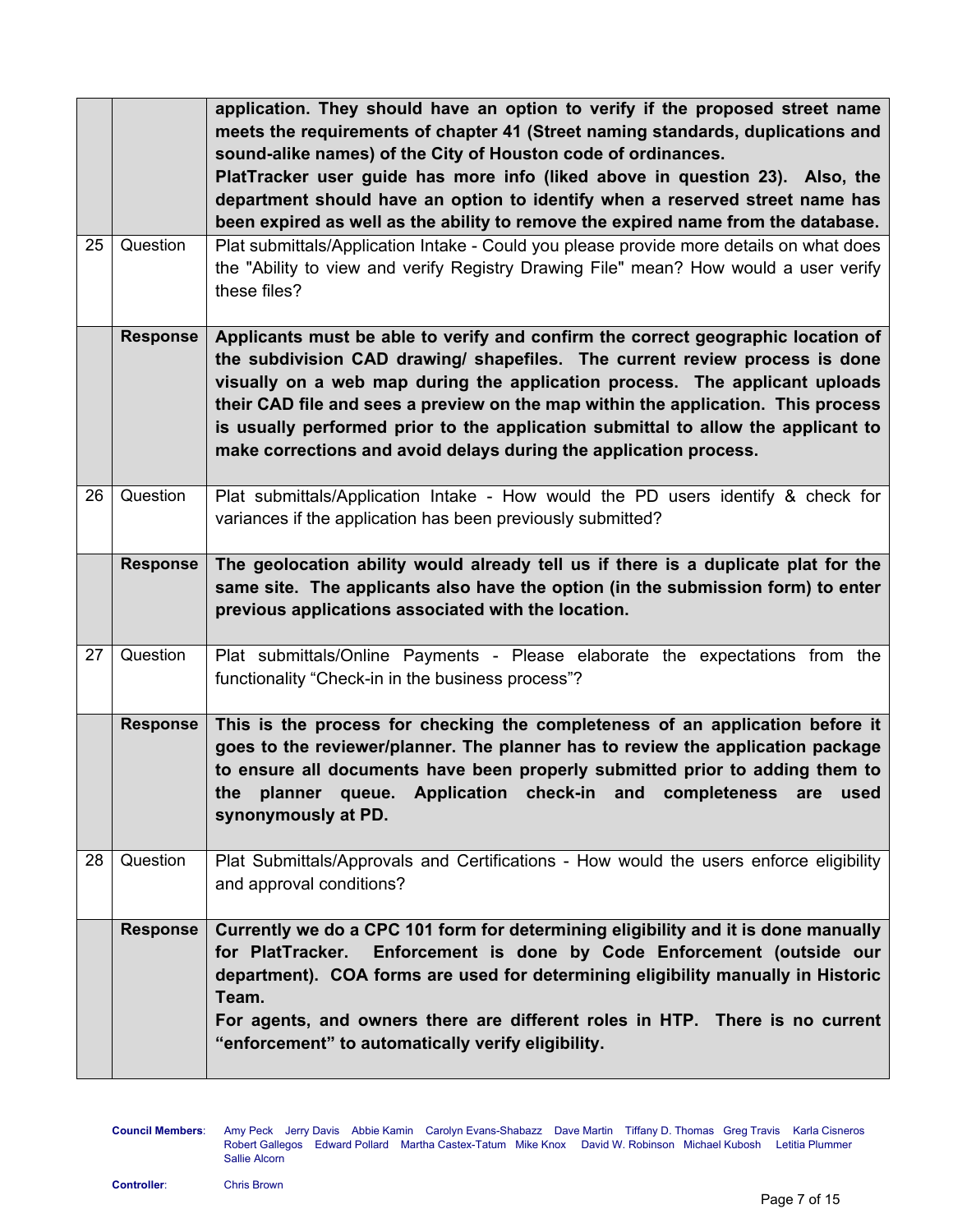|    |                 | application. They should have an option to verify if the proposed street name<br>meets the requirements of chapter 41 (Street naming standards, duplications and<br>sound-alike names) of the City of Houston code of ordinances.<br>PlatTracker user guide has more info (liked above in question 23). Also, the<br>department should have an option to identify when a reserved street name has<br>been expired as well as the ability to remove the expired name from the database.        |
|----|-----------------|-----------------------------------------------------------------------------------------------------------------------------------------------------------------------------------------------------------------------------------------------------------------------------------------------------------------------------------------------------------------------------------------------------------------------------------------------------------------------------------------------|
| 25 | Question        | Plat submittals/Application Intake - Could you please provide more details on what does<br>the "Ability to view and verify Registry Drawing File" mean? How would a user verify<br>these files?                                                                                                                                                                                                                                                                                               |
|    | <b>Response</b> | Applicants must be able to verify and confirm the correct geographic location of<br>the subdivision CAD drawing/ shapefiles. The current review process is done<br>visually on a web map during the application process. The applicant uploads<br>their CAD file and sees a preview on the map within the application. This process<br>is usually performed prior to the application submittal to allow the applicant to<br>make corrections and avoid delays during the application process. |
| 26 | Question        | Plat submittals/Application Intake - How would the PD users identify & check for<br>variances if the application has been previously submitted?                                                                                                                                                                                                                                                                                                                                               |
|    | <b>Response</b> | The geolocation ability would already tell us if there is a duplicate plat for the<br>same site. The applicants also have the option (in the submission form) to enter<br>previous applications associated with the location.                                                                                                                                                                                                                                                                 |
| 27 | Question        | Plat submittals/Online Payments - Please elaborate the expectations from the<br>functionality "Check-in in the business process"?                                                                                                                                                                                                                                                                                                                                                             |
|    | <b>Response</b> | This is the process for checking the completeness of an application before it<br>goes to the reviewer/planner. The planner has to review the application package<br>to ensure all documents have been properly submitted prior to adding them to<br>the planner queue. Application check-in and completeness are used<br>synonymously at PD.                                                                                                                                                  |
| 28 | Question        | Plat Submittals/Approvals and Certifications - How would the users enforce eligibility<br>and approval conditions?                                                                                                                                                                                                                                                                                                                                                                            |
|    | <b>Response</b> | Currently we do a CPC 101 form for determining eligibility and it is done manually<br>for PlatTracker. Enforcement is done by Code Enforcement (outside our<br>department). COA forms are used for determining eligibility manually in Historic<br>Team.<br>For agents, and owners there are different roles in HTP. There is no current<br>"enforcement" to automatically verify eligibility.                                                                                                |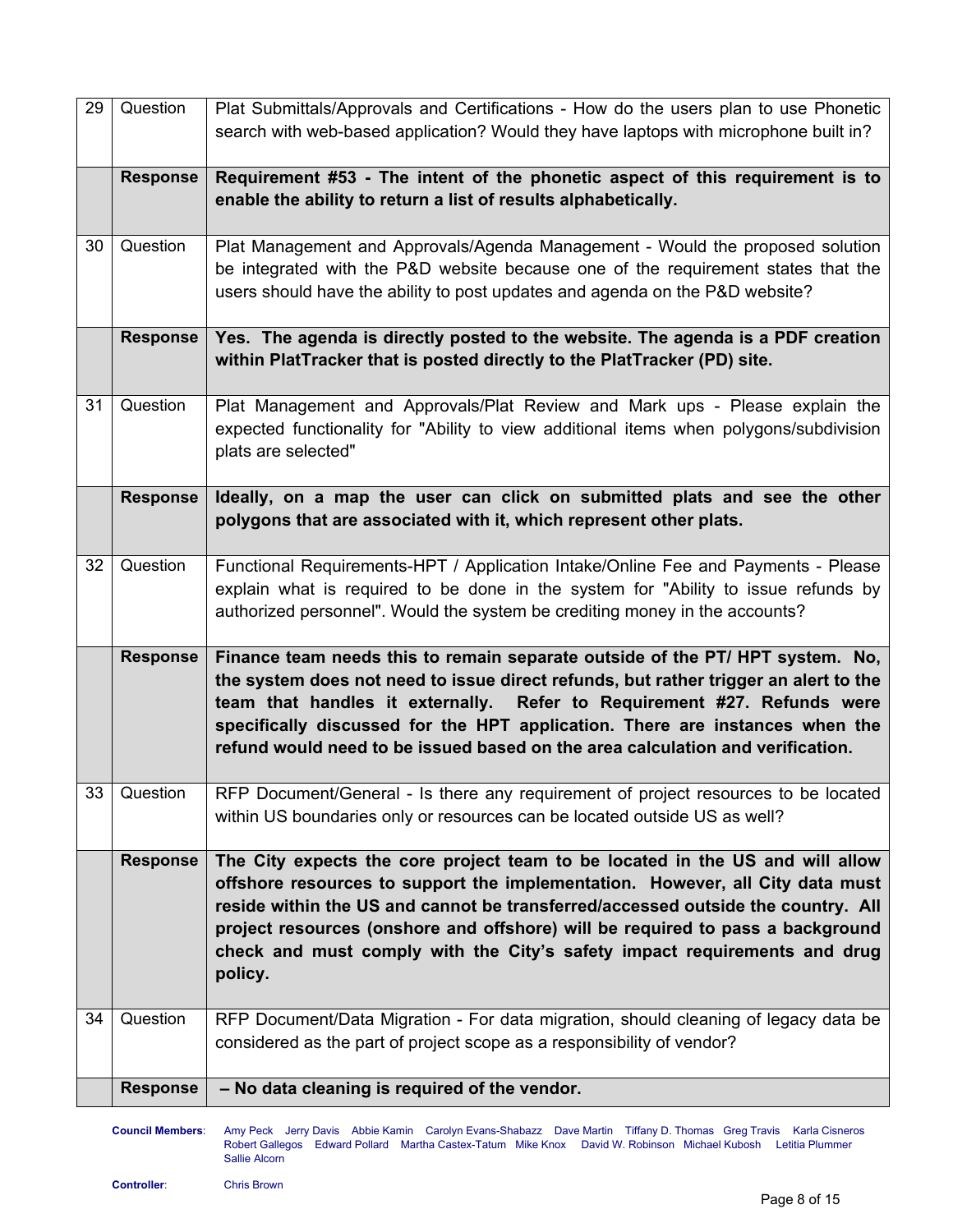| 29 | Question        | Plat Submittals/Approvals and Certifications - How do the users plan to use Phonetic<br>search with web-based application? Would they have laptops with microphone built in?                                                                                                                                                                                                                                                 |
|----|-----------------|------------------------------------------------------------------------------------------------------------------------------------------------------------------------------------------------------------------------------------------------------------------------------------------------------------------------------------------------------------------------------------------------------------------------------|
|    | <b>Response</b> | Requirement #53 - The intent of the phonetic aspect of this requirement is to<br>enable the ability to return a list of results alphabetically.                                                                                                                                                                                                                                                                              |
| 30 | Question        | Plat Management and Approvals/Agenda Management - Would the proposed solution<br>be integrated with the P&D website because one of the requirement states that the<br>users should have the ability to post updates and agenda on the P&D website?                                                                                                                                                                           |
|    | <b>Response</b> | Yes. The agenda is directly posted to the website. The agenda is a PDF creation<br>within PlatTracker that is posted directly to the PlatTracker (PD) site.                                                                                                                                                                                                                                                                  |
| 31 | Question        | Plat Management and Approvals/Plat Review and Mark ups - Please explain the<br>expected functionality for "Ability to view additional items when polygons/subdivision<br>plats are selected"                                                                                                                                                                                                                                 |
|    | <b>Response</b> | Ideally, on a map the user can click on submitted plats and see the other<br>polygons that are associated with it, which represent other plats.                                                                                                                                                                                                                                                                              |
| 32 | Question        | Functional Requirements-HPT / Application Intake/Online Fee and Payments - Please<br>explain what is required to be done in the system for "Ability to issue refunds by<br>authorized personnel". Would the system be crediting money in the accounts?                                                                                                                                                                       |
|    | <b>Response</b> | Finance team needs this to remain separate outside of the PT/ HPT system. No,<br>the system does not need to issue direct refunds, but rather trigger an alert to the<br>team that handles it externally. Refer to Requirement #27. Refunds were<br>specifically discussed for the HPT application. There are instances when the<br>refund would need to be issued based on the area calculation and verification.           |
| 33 | Question        | RFP Document/General - Is there any requirement of project resources to be located<br>within US boundaries only or resources can be located outside US as well?                                                                                                                                                                                                                                                              |
|    | <b>Response</b> | The City expects the core project team to be located in the US and will allow<br>offshore resources to support the implementation. However, all City data must<br>reside within the US and cannot be transferred/accessed outside the country. All<br>project resources (onshore and offshore) will be required to pass a background<br>check and must comply with the City's safety impact requirements and drug<br>policy. |
| 34 | Question        | RFP Document/Data Migration - For data migration, should cleaning of legacy data be<br>considered as the part of project scope as a responsibility of vendor?                                                                                                                                                                                                                                                                |
|    | <b>Response</b> | - No data cleaning is required of the vendor.                                                                                                                                                                                                                                                                                                                                                                                |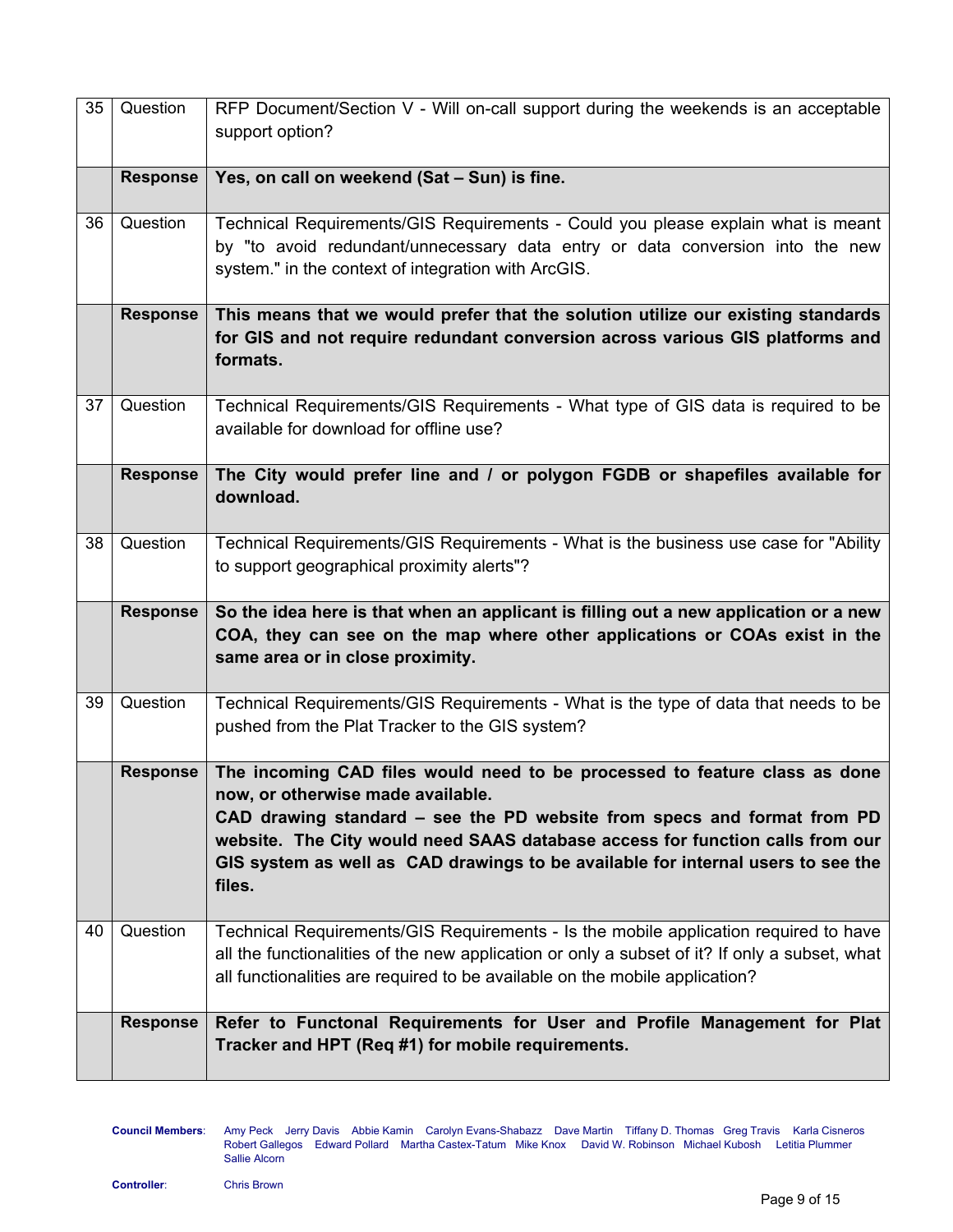| 35 | Question        | RFP Document/Section V - Will on-call support during the weekends is an acceptable<br>support option?                                                                                                                                                                                                                                                                     |
|----|-----------------|---------------------------------------------------------------------------------------------------------------------------------------------------------------------------------------------------------------------------------------------------------------------------------------------------------------------------------------------------------------------------|
|    | <b>Response</b> | Yes, on call on weekend (Sat - Sun) is fine.                                                                                                                                                                                                                                                                                                                              |
| 36 | Question        | Technical Requirements/GIS Requirements - Could you please explain what is meant<br>by "to avoid redundant/unnecessary data entry or data conversion into the new<br>system." in the context of integration with ArcGIS.                                                                                                                                                  |
|    | <b>Response</b> | This means that we would prefer that the solution utilize our existing standards<br>for GIS and not require redundant conversion across various GIS platforms and<br>formats.                                                                                                                                                                                             |
| 37 | Question        | Technical Requirements/GIS Requirements - What type of GIS data is required to be<br>available for download for offline use?                                                                                                                                                                                                                                              |
|    | <b>Response</b> | The City would prefer line and / or polygon FGDB or shapefiles available for<br>download.                                                                                                                                                                                                                                                                                 |
| 38 | Question        | Technical Requirements/GIS Requirements - What is the business use case for "Ability<br>to support geographical proximity alerts"?                                                                                                                                                                                                                                        |
|    | <b>Response</b> | So the idea here is that when an applicant is filling out a new application or a new<br>COA, they can see on the map where other applications or COAs exist in the<br>same area or in close proximity.                                                                                                                                                                    |
| 39 | Question        | Technical Requirements/GIS Requirements - What is the type of data that needs to be<br>pushed from the Plat Tracker to the GIS system?                                                                                                                                                                                                                                    |
|    | <b>Response</b> | The incoming CAD files would need to be processed to feature class as done<br>now, or otherwise made available.<br>CAD drawing standard – see the PD website from specs and format from PD<br>website. The City would need SAAS database access for function calls from our<br>GIS system as well as CAD drawings to be available for internal users to see the<br>files. |
| 40 | Question        | Technical Requirements/GIS Requirements - Is the mobile application required to have<br>all the functionalities of the new application or only a subset of it? If only a subset, what<br>all functionalities are required to be available on the mobile application?                                                                                                      |
|    | <b>Response</b> | Refer to Functonal Requirements for User and Profile Management for Plat<br>Tracker and HPT (Req #1) for mobile requirements.                                                                                                                                                                                                                                             |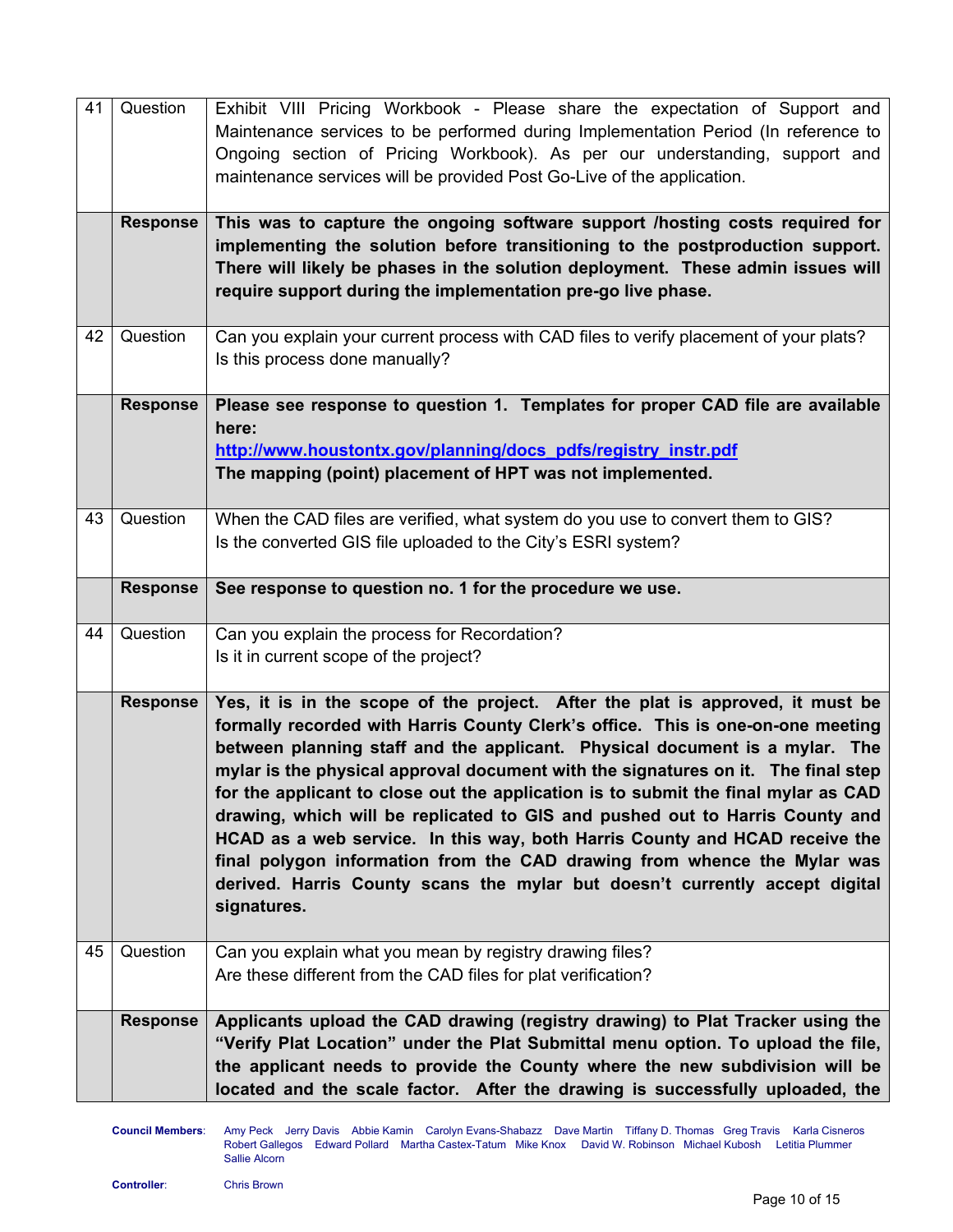| 41 | Question        | Exhibit VIII Pricing Workbook - Please share the expectation of Support and<br>Maintenance services to be performed during Implementation Period (In reference to                                                                                                                                                                                                                                                                                                                                                                                                                                                                                                                                                                                                    |
|----|-----------------|----------------------------------------------------------------------------------------------------------------------------------------------------------------------------------------------------------------------------------------------------------------------------------------------------------------------------------------------------------------------------------------------------------------------------------------------------------------------------------------------------------------------------------------------------------------------------------------------------------------------------------------------------------------------------------------------------------------------------------------------------------------------|
|    |                 | Ongoing section of Pricing Workbook). As per our understanding, support and<br>maintenance services will be provided Post Go-Live of the application.                                                                                                                                                                                                                                                                                                                                                                                                                                                                                                                                                                                                                |
|    | <b>Response</b> | This was to capture the ongoing software support /hosting costs required for<br>implementing the solution before transitioning to the postproduction support.<br>There will likely be phases in the solution deployment. These admin issues will<br>require support during the implementation pre-go live phase.                                                                                                                                                                                                                                                                                                                                                                                                                                                     |
| 42 | Question        | Can you explain your current process with CAD files to verify placement of your plats?<br>Is this process done manually?                                                                                                                                                                                                                                                                                                                                                                                                                                                                                                                                                                                                                                             |
|    | <b>Response</b> | Please see response to question 1. Templates for proper CAD file are available<br>here:<br>http://www.houstontx.gov/planning/docs_pdfs/registry_instr.pdf<br>The mapping (point) placement of HPT was not implemented.                                                                                                                                                                                                                                                                                                                                                                                                                                                                                                                                               |
| 43 | Question        | When the CAD files are verified, what system do you use to convert them to GIS?<br>Is the converted GIS file uploaded to the City's ESRI system?                                                                                                                                                                                                                                                                                                                                                                                                                                                                                                                                                                                                                     |
|    | <b>Response</b> | See response to question no. 1 for the procedure we use.                                                                                                                                                                                                                                                                                                                                                                                                                                                                                                                                                                                                                                                                                                             |
| 44 | Question        | Can you explain the process for Recordation?<br>Is it in current scope of the project?                                                                                                                                                                                                                                                                                                                                                                                                                                                                                                                                                                                                                                                                               |
|    | <b>Response</b> | Yes, it is in the scope of the project. After the plat is approved, it must be<br>formally recorded with Harris County Clerk's office. This is one-on-one meeting<br>between planning staff and the applicant. Physical document is a mylar. The<br>mylar is the physical approval document with the signatures on it. The final step<br>for the applicant to close out the application is to submit the final mylar as CAD<br>drawing, which will be replicated to GIS and pushed out to Harris County and<br>HCAD as a web service. In this way, both Harris County and HCAD receive the<br>final polygon information from the CAD drawing from whence the Mylar was<br>derived. Harris County scans the mylar but doesn't currently accept digital<br>signatures. |
| 45 | Question        | Can you explain what you mean by registry drawing files?<br>Are these different from the CAD files for plat verification?                                                                                                                                                                                                                                                                                                                                                                                                                                                                                                                                                                                                                                            |
|    | <b>Response</b> | Applicants upload the CAD drawing (registry drawing) to Plat Tracker using the<br>"Verify Plat Location" under the Plat Submittal menu option. To upload the file,<br>the applicant needs to provide the County where the new subdivision will be<br>located and the scale factor. After the drawing is successfully uploaded, the                                                                                                                                                                                                                                                                                                                                                                                                                                   |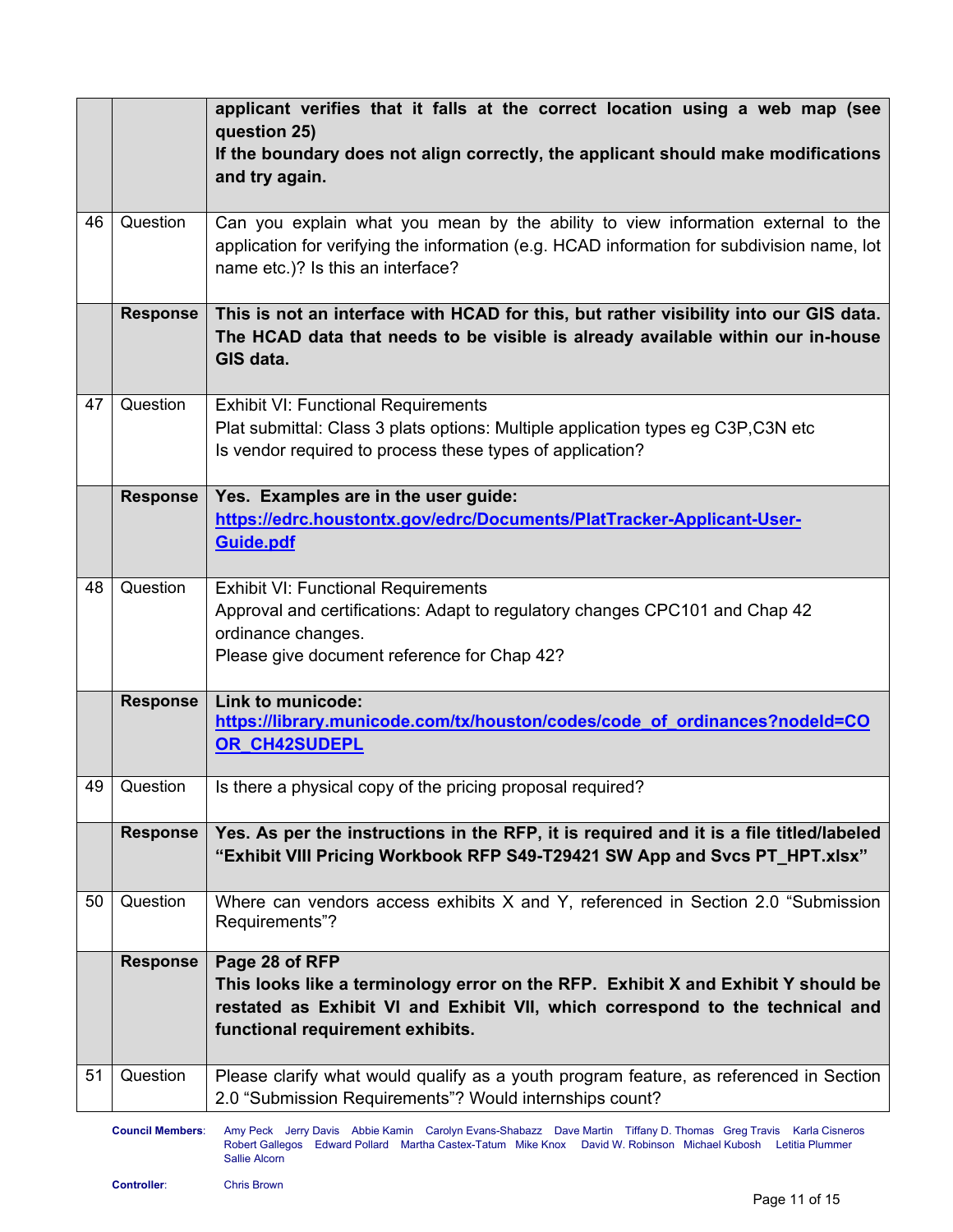|    |                 | applicant verifies that it falls at the correct location using a web map (see<br>question 25)<br>If the boundary does not align correctly, the applicant should make modifications<br>and try again.                     |
|----|-----------------|--------------------------------------------------------------------------------------------------------------------------------------------------------------------------------------------------------------------------|
| 46 | Question        | Can you explain what you mean by the ability to view information external to the<br>application for verifying the information (e.g. HCAD information for subdivision name, lot<br>name etc.)? Is this an interface?      |
|    | <b>Response</b> | This is not an interface with HCAD for this, but rather visibility into our GIS data.<br>The HCAD data that needs to be visible is already available within our in-house<br>GIS data.                                    |
| 47 | Question        | <b>Exhibit VI: Functional Requirements</b><br>Plat submittal: Class 3 plats options: Multiple application types eg C3P, C3N etc<br>Is vendor required to process these types of application?                             |
|    | <b>Response</b> | Yes. Examples are in the user guide:<br>https://edrc.houstontx.gov/edrc/Documents/PlatTracker-Applicant-User-<br>Guide.pdf                                                                                               |
| 48 | Question        | <b>Exhibit VI: Functional Requirements</b><br>Approval and certifications: Adapt to regulatory changes CPC101 and Chap 42<br>ordinance changes.<br>Please give document reference for Chap 42?                           |
|    | <b>Response</b> | Link to municode:<br>https://library.municode.com/tx/houston/codes/code_of_ordinances?nodeld=CO<br>OR CH42SUDEPL                                                                                                         |
| 49 | Question        | Is there a physical copy of the pricing proposal required?                                                                                                                                                               |
|    | <b>Response</b> | Yes. As per the instructions in the RFP, it is required and it is a file titled/labeled<br>"Exhibit VIII Pricing Workbook RFP S49-T29421 SW App and Svcs PT_HPT.xlsx"                                                    |
| 50 | Question        | Where can vendors access exhibits X and Y, referenced in Section 2.0 "Submission<br>Requirements"?                                                                                                                       |
|    | <b>Response</b> | Page 28 of RFP<br>This looks like a terminology error on the RFP. Exhibit X and Exhibit Y should be<br>restated as Exhibit VI and Exhibit VII, which correspond to the technical and<br>functional requirement exhibits. |
| 51 | Question        | Please clarify what would qualify as a youth program feature, as referenced in Section<br>2.0 "Submission Requirements"? Would internships count?                                                                        |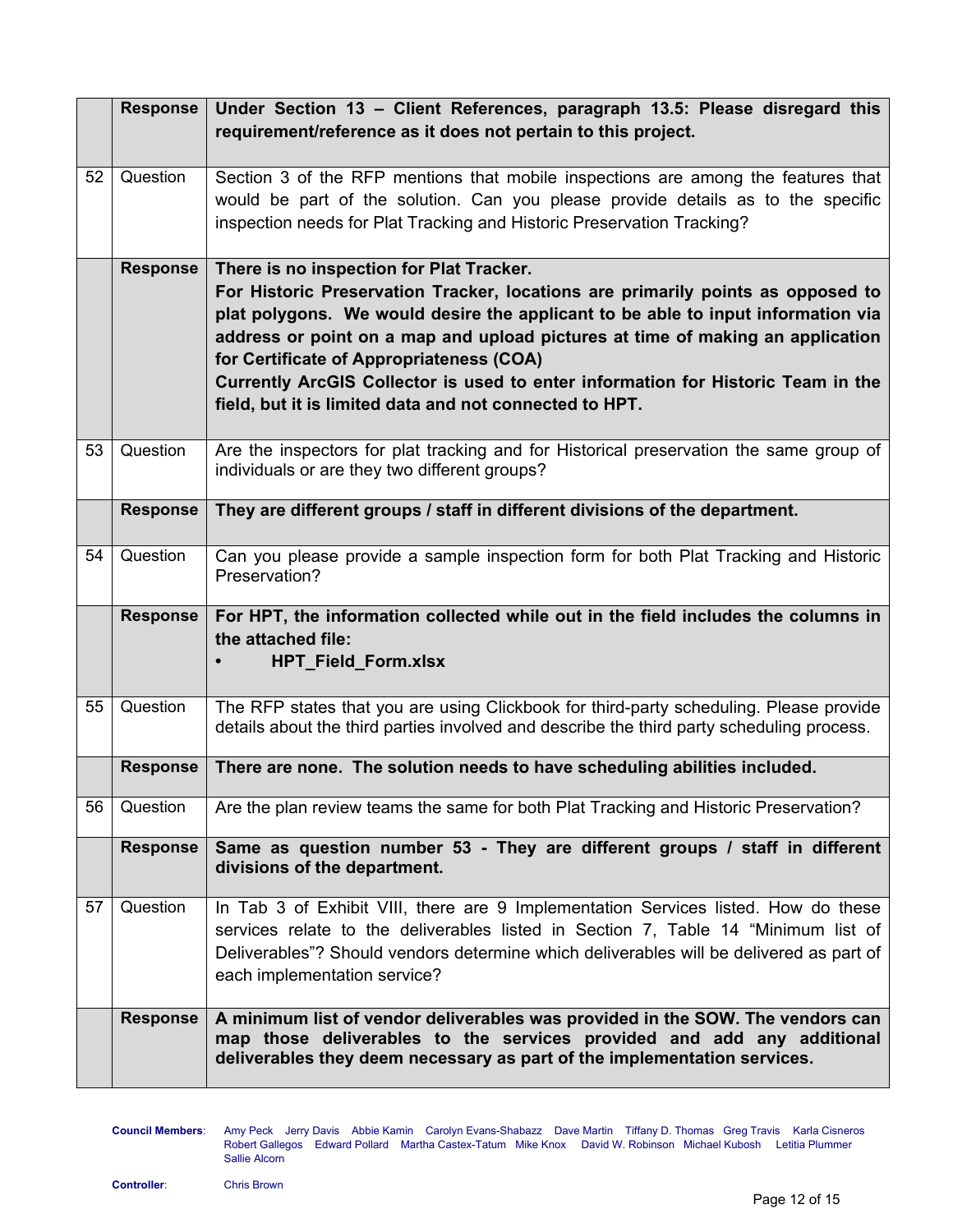|    | Response        | Under Section 13 - Client References, paragraph 13.5: Please disregard this<br>requirement/reference as it does not pertain to this project.                                                                                                                                                                                                                                                                                                                                                 |
|----|-----------------|----------------------------------------------------------------------------------------------------------------------------------------------------------------------------------------------------------------------------------------------------------------------------------------------------------------------------------------------------------------------------------------------------------------------------------------------------------------------------------------------|
| 52 | Question        | Section 3 of the RFP mentions that mobile inspections are among the features that<br>would be part of the solution. Can you please provide details as to the specific<br>inspection needs for Plat Tracking and Historic Preservation Tracking?                                                                                                                                                                                                                                              |
|    | <b>Response</b> | There is no inspection for Plat Tracker.<br>For Historic Preservation Tracker, locations are primarily points as opposed to<br>plat polygons. We would desire the applicant to be able to input information via<br>address or point on a map and upload pictures at time of making an application<br>for Certificate of Appropriateness (COA)<br>Currently ArcGIS Collector is used to enter information for Historic Team in the<br>field, but it is limited data and not connected to HPT. |
| 53 | Question        | Are the inspectors for plat tracking and for Historical preservation the same group of<br>individuals or are they two different groups?                                                                                                                                                                                                                                                                                                                                                      |
|    | <b>Response</b> | They are different groups / staff in different divisions of the department.                                                                                                                                                                                                                                                                                                                                                                                                                  |
| 54 | Question        | Can you please provide a sample inspection form for both Plat Tracking and Historic<br>Preservation?                                                                                                                                                                                                                                                                                                                                                                                         |
|    | <b>Response</b> | For HPT, the information collected while out in the field includes the columns in<br>the attached file:<br><b>HPT_Field_Form.xlsx</b>                                                                                                                                                                                                                                                                                                                                                        |
| 55 | Question        | The RFP states that you are using Clickbook for third-party scheduling. Please provide<br>details about the third parties involved and describe the third party scheduling process.                                                                                                                                                                                                                                                                                                          |
|    | <b>Response</b> | There are none. The solution needs to have scheduling abilities included.                                                                                                                                                                                                                                                                                                                                                                                                                    |
| 56 | Question        | Are the plan review teams the same for both Plat Tracking and Historic Preservation?                                                                                                                                                                                                                                                                                                                                                                                                         |
|    | <b>Response</b> | Same as question number 53 - They are different groups / staff in different<br>divisions of the department.                                                                                                                                                                                                                                                                                                                                                                                  |
| 57 | Question        | In Tab 3 of Exhibit VIII, there are 9 Implementation Services listed. How do these<br>services relate to the deliverables listed in Section 7, Table 14 "Minimum list of<br>Deliverables"? Should vendors determine which deliverables will be delivered as part of<br>each implementation service?                                                                                                                                                                                          |
|    | <b>Response</b> | A minimum list of vendor deliverables was provided in the SOW. The vendors can<br>map those deliverables to the services provided and add any additional<br>deliverables they deem necessary as part of the implementation services.                                                                                                                                                                                                                                                         |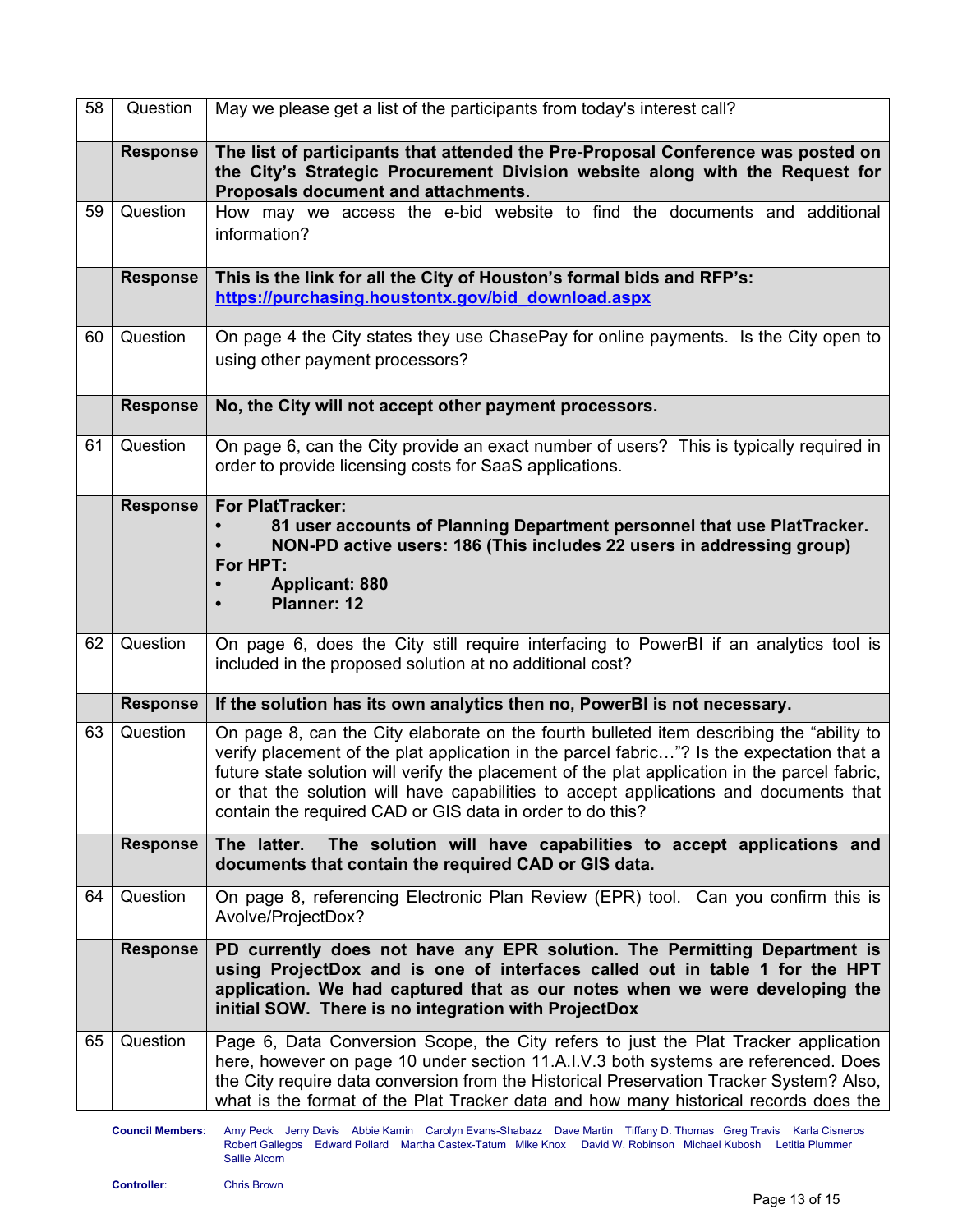| 58 | Question        | May we please get a list of the participants from today's interest call?                                                                                                                                                                                                                                                                                                                                                                     |
|----|-----------------|----------------------------------------------------------------------------------------------------------------------------------------------------------------------------------------------------------------------------------------------------------------------------------------------------------------------------------------------------------------------------------------------------------------------------------------------|
|    | <b>Response</b> | The list of participants that attended the Pre-Proposal Conference was posted on<br>the City's Strategic Procurement Division website along with the Request for<br>Proposals document and attachments.                                                                                                                                                                                                                                      |
| 59 | Question        | How may we access the e-bid website to find the documents and additional<br>information?                                                                                                                                                                                                                                                                                                                                                     |
|    | <b>Response</b> | This is the link for all the City of Houston's formal bids and RFP's:<br>https://purchasing.houstontx.gov/bid_download.aspx                                                                                                                                                                                                                                                                                                                  |
| 60 | Question        | On page 4 the City states they use ChasePay for online payments. Is the City open to<br>using other payment processors?                                                                                                                                                                                                                                                                                                                      |
|    | <b>Response</b> | No, the City will not accept other payment processors.                                                                                                                                                                                                                                                                                                                                                                                       |
| 61 | Question        | On page 6, can the City provide an exact number of users? This is typically required in<br>order to provide licensing costs for SaaS applications.                                                                                                                                                                                                                                                                                           |
|    | <b>Response</b> | <b>For PlatTracker:</b><br>81 user accounts of Planning Department personnel that use PlatTracker.<br>NON-PD active users: 186 (This includes 22 users in addressing group)<br>For HPT:<br><b>Applicant: 880</b><br><b>Planner: 12</b>                                                                                                                                                                                                       |
| 62 | Question        | On page 6, does the City still require interfacing to PowerBI if an analytics tool is<br>included in the proposed solution at no additional cost?                                                                                                                                                                                                                                                                                            |
|    | <b>Response</b> | If the solution has its own analytics then no, PowerBI is not necessary.                                                                                                                                                                                                                                                                                                                                                                     |
| 63 | Question        | On page 8, can the City elaborate on the fourth bulleted item describing the "ability to<br>verify placement of the plat application in the parcel fabric"? Is the expectation that a<br>future state solution will verify the placement of the plat application in the parcel fabric,<br>or that the solution will have capabilities to accept applications and documents that<br>contain the required CAD or GIS data in order to do this? |
|    | <b>Response</b> | The solution will have capabilities to accept applications and<br>The latter.<br>documents that contain the required CAD or GIS data.                                                                                                                                                                                                                                                                                                        |
| 64 | Question        | On page 8, referencing Electronic Plan Review (EPR) tool. Can you confirm this is<br>Avolve/ProjectDox?                                                                                                                                                                                                                                                                                                                                      |
|    | <b>Response</b> | PD currently does not have any EPR solution. The Permitting Department is<br>using ProjectDox and is one of interfaces called out in table 1 for the HPT<br>application. We had captured that as our notes when we were developing the<br>initial SOW. There is no integration with ProjectDox                                                                                                                                               |
| 65 | Question        | Page 6, Data Conversion Scope, the City refers to just the Plat Tracker application<br>here, however on page 10 under section 11.A.I.V.3 both systems are referenced. Does<br>the City require data conversion from the Historical Preservation Tracker System? Also,<br>what is the format of the Plat Tracker data and how many historical records does the                                                                                |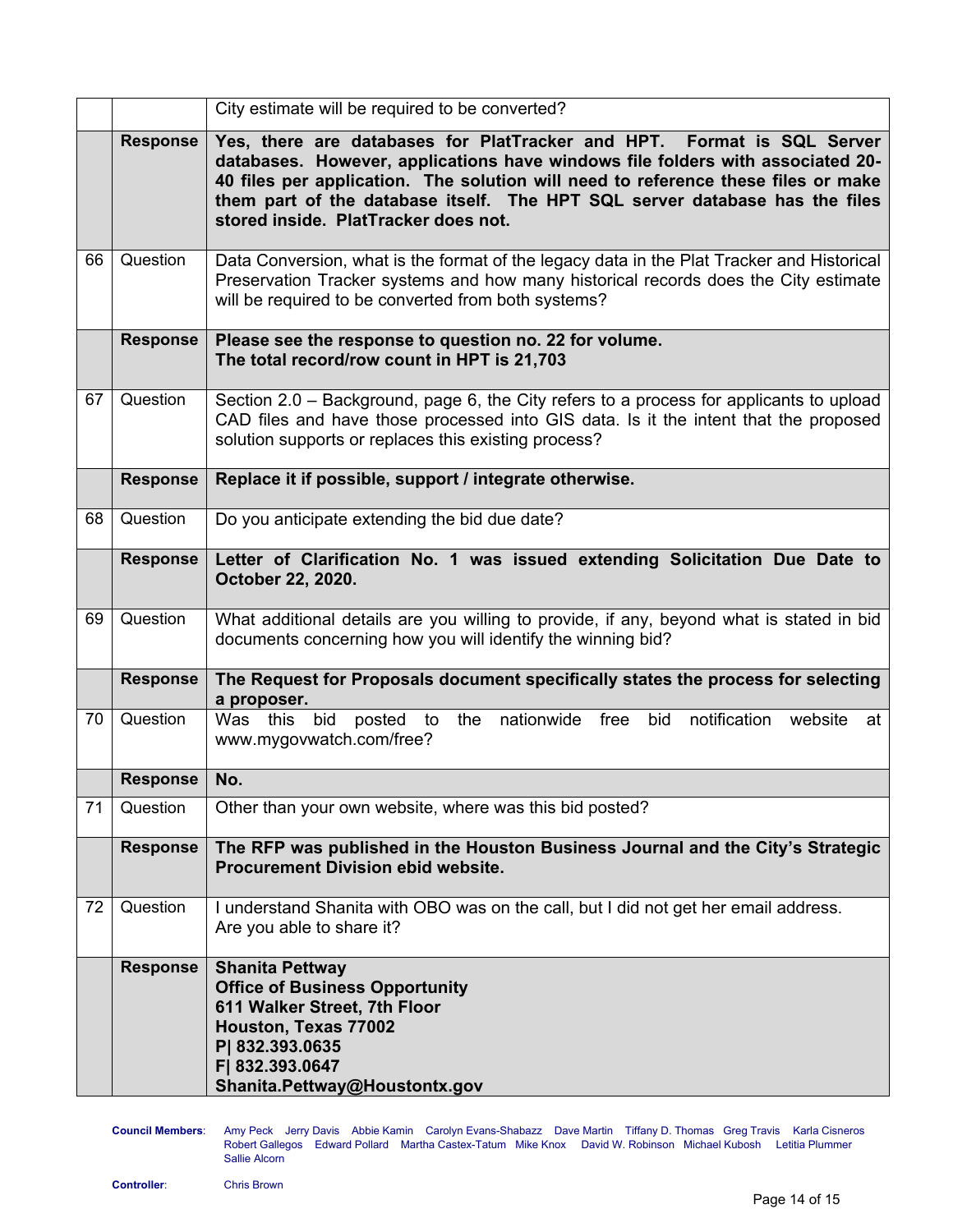|    |                 | City estimate will be required to be converted?                                                                                                                                                                                                                                                                                                                         |
|----|-----------------|-------------------------------------------------------------------------------------------------------------------------------------------------------------------------------------------------------------------------------------------------------------------------------------------------------------------------------------------------------------------------|
|    | <b>Response</b> | Yes, there are databases for PlatTracker and HPT.<br>Format is SQL Server<br>databases. However, applications have windows file folders with associated 20-<br>40 files per application. The solution will need to reference these files or make<br>them part of the database itself. The HPT SQL server database has the files<br>stored inside. PlatTracker does not. |
| 66 | Question        | Data Conversion, what is the format of the legacy data in the Plat Tracker and Historical<br>Preservation Tracker systems and how many historical records does the City estimate<br>will be required to be converted from both systems?                                                                                                                                 |
|    | <b>Response</b> | Please see the response to question no. 22 for volume.<br>The total record/row count in HPT is 21,703                                                                                                                                                                                                                                                                   |
| 67 | Question        | Section 2.0 – Background, page 6, the City refers to a process for applicants to upload<br>CAD files and have those processed into GIS data. Is it the intent that the proposed<br>solution supports or replaces this existing process?                                                                                                                                 |
|    | <b>Response</b> | Replace it if possible, support / integrate otherwise.                                                                                                                                                                                                                                                                                                                  |
| 68 | Question        | Do you anticipate extending the bid due date?                                                                                                                                                                                                                                                                                                                           |
|    | <b>Response</b> | Letter of Clarification No. 1 was issued extending Solicitation Due Date to<br>October 22, 2020.                                                                                                                                                                                                                                                                        |
| 69 | Question        | What additional details are you willing to provide, if any, beyond what is stated in bid<br>documents concerning how you will identify the winning bid?                                                                                                                                                                                                                 |
|    | <b>Response</b> | The Request for Proposals document specifically states the process for selecting<br>a proposer.                                                                                                                                                                                                                                                                         |
| 70 | Question        | bid<br>nationwide free<br>notification website<br>Was this<br>the<br>bid<br>posted<br>to<br>at<br>www.mygovwatch.com/free?                                                                                                                                                                                                                                              |
|    | <b>Response</b> | No.                                                                                                                                                                                                                                                                                                                                                                     |
| 71 | Question        | Other than your own website, where was this bid posted?                                                                                                                                                                                                                                                                                                                 |
|    | <b>Response</b> | The RFP was published in the Houston Business Journal and the City's Strategic<br><b>Procurement Division ebid website.</b>                                                                                                                                                                                                                                             |
| 72 | Question        | I understand Shanita with OBO was on the call, but I did not get her email address.<br>Are you able to share it?                                                                                                                                                                                                                                                        |
|    | <b>Response</b> | <b>Shanita Pettway</b><br><b>Office of Business Opportunity</b><br>611 Walker Street, 7th Floor<br>Houston, Texas 77002<br>P  832.393.0635<br>F  832.393.0647<br>Shanita.Pettway@Houstontx.gov                                                                                                                                                                          |